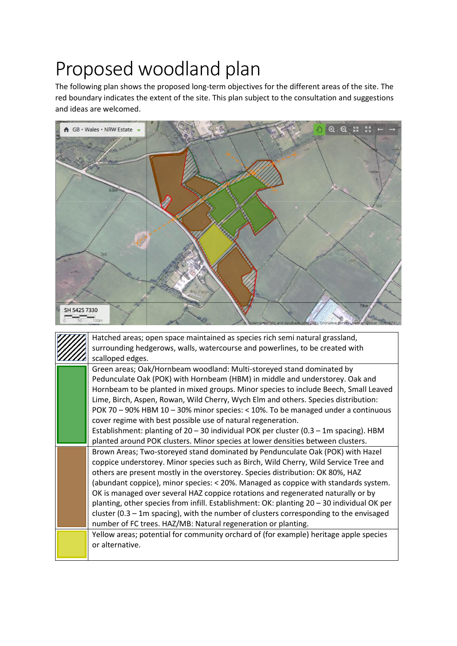## Proposed woodland plan

The following plan shows the proposed long-term objectives for the different areas of the site. The red boundary indicates the extent of the site. This plan subject to the consultation and suggestions and ideas are welcomed.



|  |  | Hatched areas; open space maintained as species rich semi natural grassland,               |
|--|--|--------------------------------------------------------------------------------------------|
|  |  | surrounding hedgerows, walls, watercourse and powerlines, to be created with               |
|  |  | scalloped edges.                                                                           |
|  |  | Green areas; Oak/Hornbeam woodland: Multi-storeyed stand dominated by                      |
|  |  | Pedunculate Oak (POK) with Hornbeam (HBM) in middle and understorey. Oak and               |
|  |  | Hornbeam to be planted in mixed groups. Minor species to include Beech, Small Leaved       |
|  |  | Lime, Birch, Aspen, Rowan, Wild Cherry, Wych Elm and others. Species distribution:         |
|  |  | POK 70 - 90% HBM 10 - 30% minor species: < 10%. To be managed under a continuous           |
|  |  | cover regime with best possible use of natural regeneration.                               |
|  |  | Establishment: planting of 20 – 30 individual POK per cluster (0.3 – 1m spacing). HBM      |
|  |  | planted around POK clusters. Minor species at lower densities between clusters.            |
|  |  | Brown Areas; Two-storeyed stand dominated by Pendunculate Oak (POK) with Hazel             |
|  |  | coppice understorey. Minor species such as Birch, Wild Cherry, Wild Service Tree and       |
|  |  | others are present mostly in the overstorey. Species distribution: OK 80%, HAZ             |
|  |  | (abundant coppice), minor species: < 20%. Managed as coppice with standards system.        |
|  |  | OK is managed over several HAZ coppice rotations and regenerated naturally or by           |
|  |  | planting, other species from infill. Establishment: OK: planting 20 - 30 individual OK per |
|  |  | cluster $(0.3 - 1m$ spacing), with the number of clusters corresponding to the envisaged   |
|  |  | number of FC trees. HAZ/MB: Natural regeneration or planting.                              |
|  |  | Yellow areas; potential for community orchard of (for example) heritage apple species      |
|  |  | or alternative.                                                                            |
|  |  |                                                                                            |